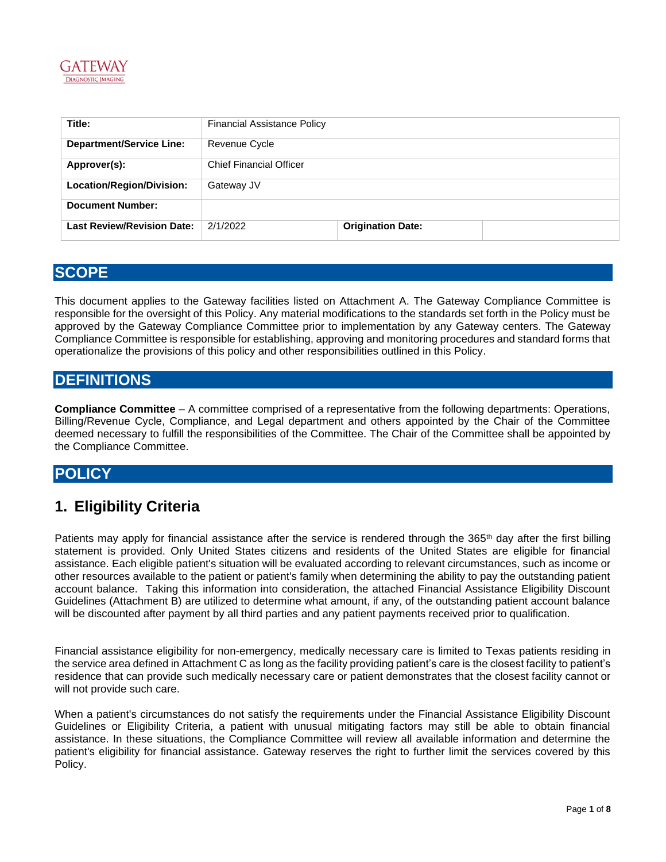

| Title:                            | <b>Financial Assistance Policy</b> |                          |  |
|-----------------------------------|------------------------------------|--------------------------|--|
| <b>Department/Service Line:</b>   | Revenue Cycle                      |                          |  |
| Approver(s):                      | <b>Chief Financial Officer</b>     |                          |  |
| Location/Region/Division:         | Gateway JV                         |                          |  |
| <b>Document Number:</b>           |                                    |                          |  |
| <b>Last Review/Revision Date:</b> | 2/1/2022                           | <b>Origination Date:</b> |  |

### **SCOPE**

This document applies to the Gateway facilities listed on Attachment A. The Gateway Compliance Committee is responsible for the oversight of this Policy. Any material modifications to the standards set forth in the Policy must be approved by the Gateway Compliance Committee prior to implementation by any Gateway centers. The Gateway Compliance Committee is responsible for establishing, approving and monitoring procedures and standard forms that operationalize the provisions of this policy and other responsibilities outlined in this Policy.

### **DEFINITIONS**

**Compliance Committee** – A committee comprised of a representative from the following departments: Operations, Billing/Revenue Cycle, Compliance, and Legal department and others appointed by the Chair of the Committee deemed necessary to fulfill the responsibilities of the Committee. The Chair of the Committee shall be appointed by the Compliance Committee.

### **POLICY**

## **1. Eligibility Criteria**

Patients may apply for financial assistance after the service is rendered through the 365<sup>th</sup> day after the first billing statement is provided. Only United States citizens and residents of the United States are eligible for financial assistance. Each eligible patient's situation will be evaluated according to relevant circumstances, such as income or other resources available to the patient or patient's family when determining the ability to pay the outstanding patient account balance. Taking this information into consideration, the attached Financial Assistance Eligibility Discount Guidelines (Attachment B) are utilized to determine what amount, if any, of the outstanding patient account balance will be discounted after payment by all third parties and any patient payments received prior to qualification.

Financial assistance eligibility for non-emergency, medically necessary care is limited to Texas patients residing in the service area defined in Attachment C as long as the facility providing patient's care is the closest facility to patient's residence that can provide such medically necessary care or patient demonstrates that the closest facility cannot or will not provide such care.

When a patient's circumstances do not satisfy the requirements under the Financial Assistance Eligibility Discount Guidelines or Eligibility Criteria, a patient with unusual mitigating factors may still be able to obtain financial assistance. In these situations, the Compliance Committee will review all available information and determine the patient's eligibility for financial assistance. Gateway reserves the right to further limit the services covered by this Policy.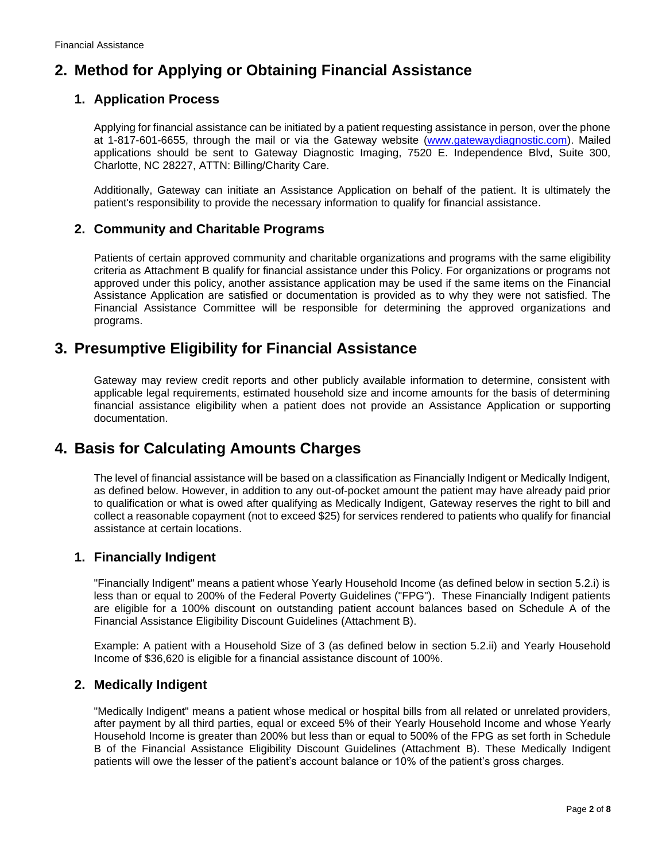# **2. Method for Applying or Obtaining Financial Assistance**

### **1. Application Process**

Applying for financial assistance can be initiated by a patient requesting assistance in person, over the phone at 1-817-601-6655, through the mail or via the Gateway website [\(www.gatewaydiagnostic.com\)](http://www.gatewaydiagnostic.com/). Mailed applications should be sent to Gateway Diagnostic Imaging, 7520 E. Independence Blvd, Suite 300, Charlotte, NC 28227, ATTN: Billing/Charity Care.

Additionally, Gateway can initiate an Assistance Application on behalf of the patient. It is ultimately the patient's responsibility to provide the necessary information to qualify for financial assistance.

#### **2. Community and Charitable Programs**

Patients of certain approved community and charitable organizations and programs with the same eligibility criteria as Attachment B qualify for financial assistance under this Policy. For organizations or programs not approved under this policy, another assistance application may be used if the same items on the Financial Assistance Application are satisfied or documentation is provided as to why they were not satisfied. The Financial Assistance Committee will be responsible for determining the approved organizations and programs.

### **3. Presumptive Eligibility for Financial Assistance**

Gateway may review credit reports and other publicly available information to determine, consistent with applicable legal requirements, estimated household size and income amounts for the basis of determining financial assistance eligibility when a patient does not provide an Assistance Application or supporting documentation.

### **4. Basis for Calculating Amounts Charges**

The level of financial assistance will be based on a classification as Financially Indigent or Medically Indigent, as defined below. However, in addition to any out-of-pocket amount the patient may have already paid prior to qualification or what is owed after qualifying as Medically Indigent, Gateway reserves the right to bill and collect a reasonable copayment (not to exceed \$25) for services rendered to patients who qualify for financial assistance at certain locations.

### **1. Financially Indigent**

"Financially Indigent" means a patient whose Yearly Household Income (as defined below in section 5.2.i) is less than or equal to 200% of the Federal Poverty Guidelines ("FPG"). These Financially Indigent patients are eligible for a 100% discount on outstanding patient account balances based on Schedule A of the Financial Assistance Eligibility Discount Guidelines (Attachment B).

Example: A patient with a Household Size of 3 (as defined below in section 5.2.ii) and Yearly Household Income of \$36,620 is eligible for a financial assistance discount of 100%.

#### **2. Medically Indigent**

"Medically Indigent" means a patient whose medical or hospital bills from all related or unrelated providers, after payment by all third parties, equal or exceed 5% of their Yearly Household Income and whose Yearly Household Income is greater than 200% but less than or equal to 500% of the FPG as set forth in Schedule B of the Financial Assistance Eligibility Discount Guidelines (Attachment B). These Medically Indigent patients will owe the lesser of the patient's account balance or 10% of the patient's gross charges.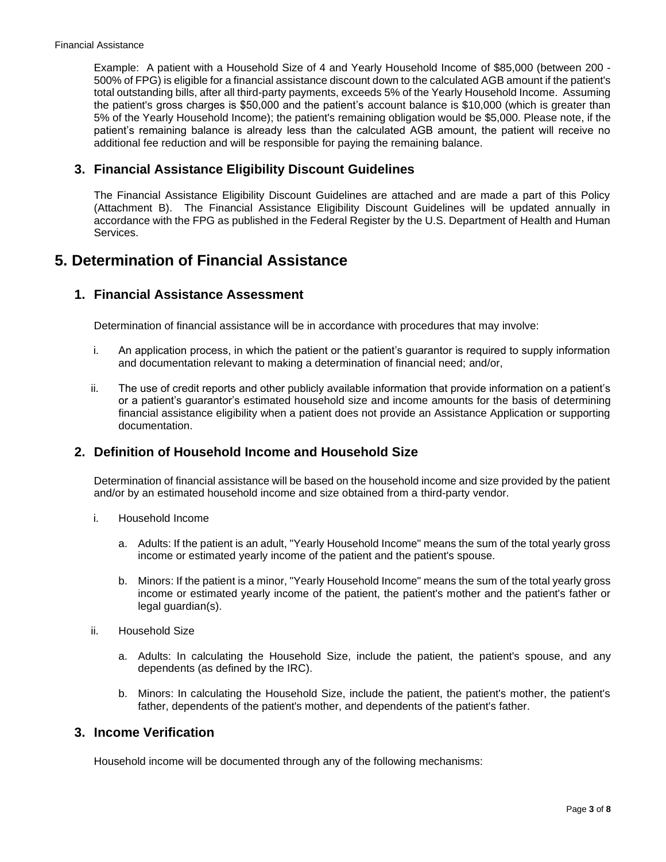Example: A patient with a Household Size of 4 and Yearly Household Income of \$85,000 (between 200 - 500% of FPG) is eligible for a financial assistance discount down to the calculated AGB amount if the patient's total outstanding bills, after all third-party payments, exceeds 5% of the Yearly Household Income. Assuming the patient's gross charges is \$50,000 and the patient's account balance is \$10,000 (which is greater than 5% of the Yearly Household Income); the patient's remaining obligation would be \$5,000. Please note, if the patient's remaining balance is already less than the calculated AGB amount, the patient will receive no additional fee reduction and will be responsible for paying the remaining balance.

#### **3. Financial Assistance Eligibility Discount Guidelines**

The Financial Assistance Eligibility Discount Guidelines are attached and are made a part of this Policy (Attachment B). The Financial Assistance Eligibility Discount Guidelines will be updated annually in accordance with the FPG as published in the Federal Register by the U.S. Department of Health and Human Services.

### **5. Determination of Financial Assistance**

#### **1. Financial Assistance Assessment**

Determination of financial assistance will be in accordance with procedures that may involve:

- i. An application process, in which the patient or the patient's guarantor is required to supply information and documentation relevant to making a determination of financial need; and/or,
- ii. The use of credit reports and other publicly available information that provide information on a patient's or a patient's guarantor's estimated household size and income amounts for the basis of determining financial assistance eligibility when a patient does not provide an Assistance Application or supporting documentation.

#### **2. Definition of Household Income and Household Size**

Determination of financial assistance will be based on the household income and size provided by the patient and/or by an estimated household income and size obtained from a third-party vendor.

- i. Household Income
	- a. Adults: If the patient is an adult, "Yearly Household Income" means the sum of the total yearly gross income or estimated yearly income of the patient and the patient's spouse.
	- b. Minors: If the patient is a minor, "Yearly Household Income" means the sum of the total yearly gross income or estimated yearly income of the patient, the patient's mother and the patient's father or legal guardian(s).
- ii. Household Size
	- a. Adults: In calculating the Household Size, include the patient, the patient's spouse, and any dependents (as defined by the IRC).
	- b. Minors: In calculating the Household Size, include the patient, the patient's mother, the patient's father, dependents of the patient's mother, and dependents of the patient's father.

#### **3. Income Verification**

Household income will be documented through any of the following mechanisms: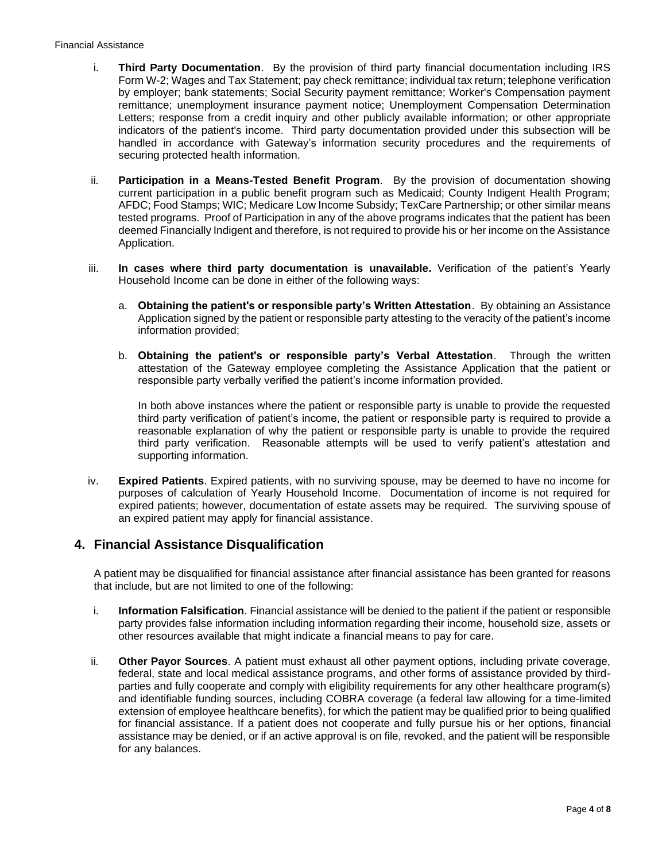#### Financial Assistance

- i. **Third Party Documentation**. By the provision of third party financial documentation including IRS Form W-2; Wages and Tax Statement; pay check remittance; individual tax return; telephone verification by employer; bank statements; Social Security payment remittance; Worker's Compensation payment remittance; unemployment insurance payment notice; Unemployment Compensation Determination Letters; response from a credit inquiry and other publicly available information; or other appropriate indicators of the patient's income. Third party documentation provided under this subsection will be handled in accordance with Gateway's information security procedures and the requirements of securing protected health information.
- ii. **Participation in a Means-Tested Benefit Program**. By the provision of documentation showing current participation in a public benefit program such as Medicaid; County Indigent Health Program; AFDC; Food Stamps; WIC; Medicare Low Income Subsidy; TexCare Partnership; or other similar means tested programs. Proof of Participation in any of the above programs indicates that the patient has been deemed Financially Indigent and therefore, is not required to provide his or her income on the Assistance Application.
- iii. **In cases where third party documentation is unavailable.** Verification of the patient's Yearly Household Income can be done in either of the following ways:
	- a. **Obtaining the patient's or responsible party's Written Attestation**. By obtaining an Assistance Application signed by the patient or responsible party attesting to the veracity of the patient's income information provided;
	- b. **Obtaining the patient's or responsible party's Verbal Attestation**. Through the written attestation of the Gateway employee completing the Assistance Application that the patient or responsible party verbally verified the patient's income information provided.

In both above instances where the patient or responsible party is unable to provide the requested third party verification of patient's income, the patient or responsible party is required to provide a reasonable explanation of why the patient or responsible party is unable to provide the required third party verification. Reasonable attempts will be used to verify patient's attestation and supporting information.

iv. **Expired Patients**. Expired patients, with no surviving spouse, may be deemed to have no income for purposes of calculation of Yearly Household Income. Documentation of income is not required for expired patients; however, documentation of estate assets may be required. The surviving spouse of an expired patient may apply for financial assistance.

#### **4. Financial Assistance Disqualification**

A patient may be disqualified for financial assistance after financial assistance has been granted for reasons that include, but are not limited to one of the following:

- i. **Information Falsification**. Financial assistance will be denied to the patient if the patient or responsible party provides false information including information regarding their income, household size, assets or other resources available that might indicate a financial means to pay for care.
- ii. **Other Payor Sources**. A patient must exhaust all other payment options, including private coverage, federal, state and local medical assistance programs, and other forms of assistance provided by thirdparties and fully cooperate and comply with eligibility requirements for any other healthcare program(s) and identifiable funding sources, including COBRA coverage (a federal law allowing for a time-limited extension of employee healthcare benefits), for which the patient may be qualified prior to being qualified for financial assistance. If a patient does not cooperate and fully pursue his or her options, financial assistance may be denied, or if an active approval is on file, revoked, and the patient will be responsible for any balances.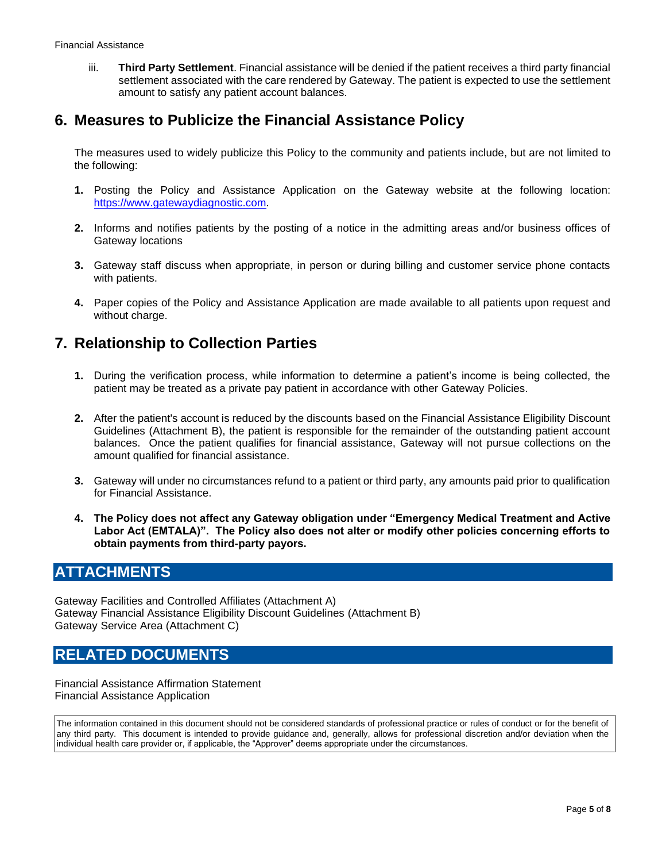iii. **Third Party Settlement**. Financial assistance will be denied if the patient receives a third party financial settlement associated with the care rendered by Gateway. The patient is expected to use the settlement amount to satisfy any patient account balances.

### **6. Measures to Publicize the Financial Assistance Policy**

The measures used to widely publicize this Policy to the community and patients include, but are not limited to the following:

- **1.** Posting the Policy and Assistance Application on the Gateway website at the following location: [https://www.gatewaydiagnostic.com.](https://www.gatewaydiagnostic.com/)
- **2.** Informs and notifies patients by the posting of a notice in the admitting areas and/or business offices of Gateway locations
- **3.** Gateway staff discuss when appropriate, in person or during billing and customer service phone contacts with patients.
- **4.** Paper copies of the Policy and Assistance Application are made available to all patients upon request and without charge.

### **7. Relationship to Collection Parties**

- **1.** During the verification process, while information to determine a patient's income is being collected, the patient may be treated as a private pay patient in accordance with other Gateway Policies.
- **2.** After the patient's account is reduced by the discounts based on the Financial Assistance Eligibility Discount Guidelines (Attachment B), the patient is responsible for the remainder of the outstanding patient account balances. Once the patient qualifies for financial assistance, Gateway will not pursue collections on the amount qualified for financial assistance.
- **3.** Gateway will under no circumstances refund to a patient or third party, any amounts paid prior to qualification for Financial Assistance.
- **4. The Policy does not affect any Gateway obligation under "Emergency Medical Treatment and Active Labor Act (EMTALA)". The Policy also does not alter or modify other policies concerning efforts to obtain payments from third-party payors.**

### **ATTACHMENTS**

Gateway Facilities and Controlled Affiliates (Attachment A) Gateway Financial Assistance Eligibility Discount Guidelines (Attachment B) Gateway Service Area (Attachment C)

### **RELATED DOCUMENTS**

Financial Assistance Affirmation Statement Financial Assistance Application

The information contained in this document should not be considered standards of professional practice or rules of conduct or for the benefit of any third party. This document is intended to provide guidance and, generally, allows for professional discretion and/or deviation when the individual health care provider or, if applicable, the "Approver" deems appropriate under the circumstances.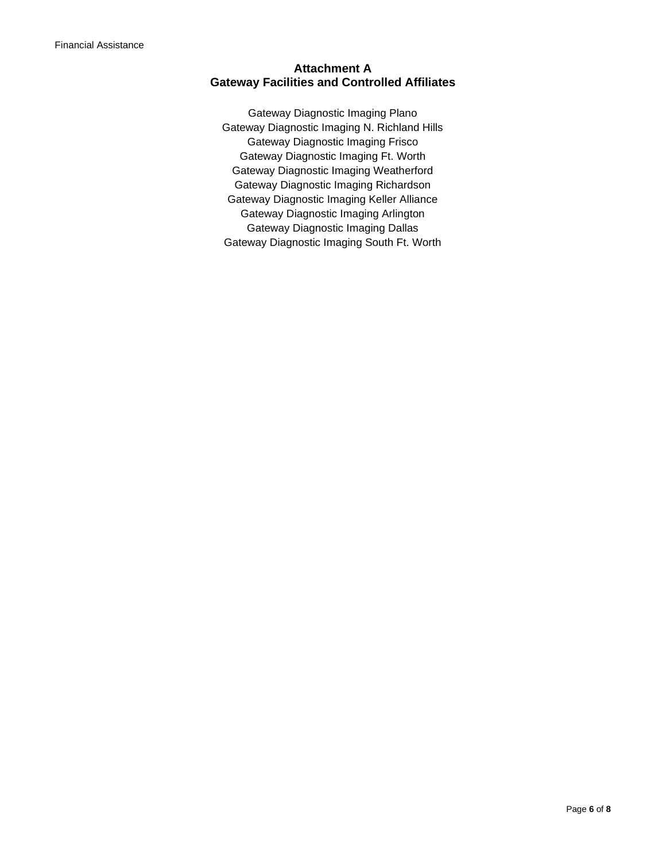#### **Attachment A Gateway Facilities and Controlled Affiliates**

Gateway Diagnostic Imaging Plano Gateway Diagnostic Imaging N. Richland Hills Gateway Diagnostic Imaging Frisco Gateway Diagnostic Imaging Ft. Worth Gateway Diagnostic Imaging Weatherford Gateway Diagnostic Imaging Richardson Gateway Diagnostic Imaging Keller Alliance Gateway Diagnostic Imaging Arlington Gateway Diagnostic Imaging Dallas Gateway Diagnostic Imaging South Ft. Worth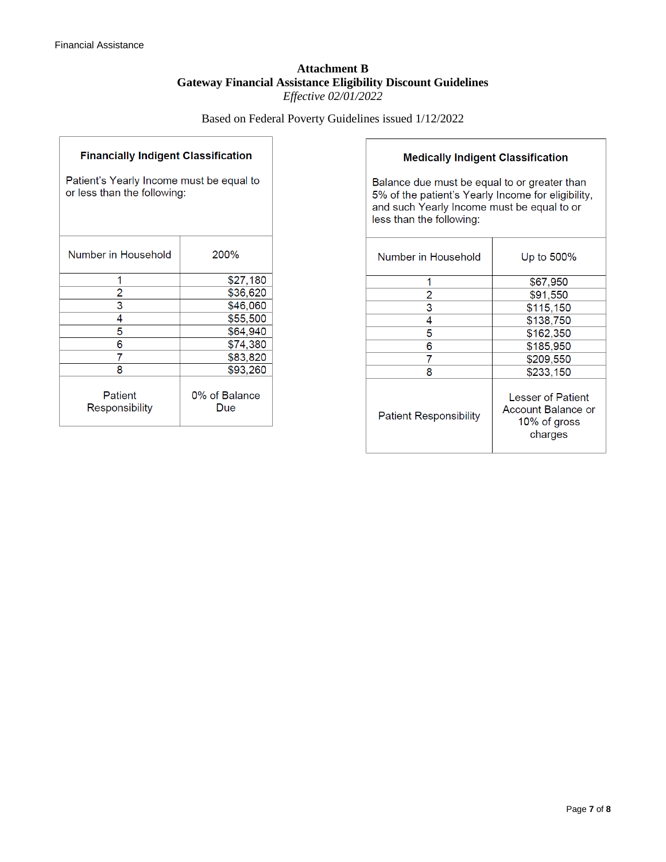#### **Attachment B Gateway Financial Assistance Eligibility Discount Guidelines** *Effective 02/01/2022*

Based on Federal Poverty Guidelines issued 1/12/2022

| <b>Financially Indigent Classification</b>                              |                      |  |
|-------------------------------------------------------------------------|----------------------|--|
| Patient's Yearly Income must be equal to<br>or less than the following: |                      |  |
| Number in Household                                                     | 200%                 |  |
| 1                                                                       | \$27,180             |  |
| 2                                                                       | \$36,620             |  |
| $\overline{\mathsf{3}}$                                                 | \$46,060             |  |
| 4                                                                       | \$55,500             |  |
| 5                                                                       | \$64,940             |  |
| 6                                                                       | \$74,380             |  |
| 7                                                                       | \$83,820             |  |
| 8                                                                       | \$93,260             |  |
| Patient<br>Responsibility                                               | 0% of Balance<br>Due |  |

#### **Medically Indigent Classification**

Balance due must be equal to or greater than 5% of the patient's Yearly Income for eligibility, and such Yearly Income must be equal to or less than the following:

| Number in Household           | Up to 500%                                                         |
|-------------------------------|--------------------------------------------------------------------|
|                               | \$67,950                                                           |
| 2                             | \$91,550                                                           |
| 3                             | \$115,150                                                          |
| 4                             | \$138,750                                                          |
| 5                             | \$162,350                                                          |
| 6                             | \$185,950                                                          |
| 7                             | \$209,550                                                          |
| 8                             | \$233,150                                                          |
| <b>Patient Responsibility</b> | Lesser of Patient<br>Account Balance or<br>10% of gross<br>charges |